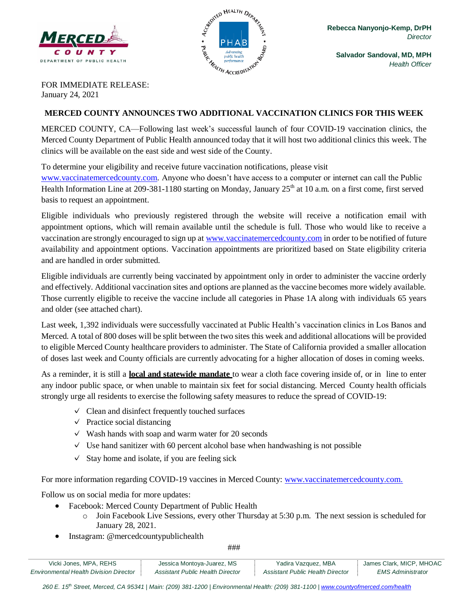



**Salvador Sandoval, MD, MPH** *Health Officer*

FOR IMMEDIATE RELEASE: January 24, 2021

#### **MERCED COUNTY ANNOUNCES TWO ADDITIONAL VACCINATION CLINICS FOR THIS WEEK**

MERCED COUNTY, CA—Following last week's successful launch of four COVID-19 vaccination clinics, the Merced County Department of Public Health announced today that it will host two additional clinics this week. The clinics will be available on the east side and west side of the County.

To determine your eligibility and receive future vaccination notifications, please visit

[www.vaccinatemercedcounty.com.](http://www.vaccinatemercedcounty.com/) Anyone who doesn't have access to a computer or internet can call the Public Health Information Line at 209-381-1180 starting on Monday, January  $25<sup>th</sup>$  at 10 a.m. on a first come, first served basis to request an appointment.

Eligible individuals who previously registered through the website will receive a notification email with appointment options, which will remain available until the schedule is full. Those who would like to receive a vaccination are strongly encouraged to sign up at [www.vaccinatemercedcounty.com](http://www.vaccinatemercedcounty.com/) in order to be notified of future availability and appointment options. Vaccination appointments are prioritized based on State eligibility criteria and are handled in order submitted.

Eligible individuals are currently being vaccinated by appointment only in order to administer the vaccine orderly and effectively. Additional vaccination sites and options are planned as the vaccine becomes more widely available. Those currently eligible to receive the vaccine include all categories in Phase 1A along with individuals 65 years and older (see attached chart).

Last week, 1,392 individuals were successfully vaccinated at Public Health's vaccination clinics in Los Banos and Merced. A total of 800 doses will be split between the two sites this week and additional allocations will be provided to eligible Merced County healthcare providers to administer. The State of California provided a smaller allocation of doses last week and County officials are currently advocating for a higher allocation of doses in coming weeks.

As a reminder, it is still a **local and statewide mandate** to wear a cloth face covering inside of, or in line to enter any indoor public space, or when unable to maintain six feet for social distancing. Merced County health officials strongly urge all residents to exercise the following safety measures to reduce the spread of COVID-19:

- $\vee$  Clean and disinfect frequently touched surfaces
- $\vee$  Practice social distancing
- $\vee$  Wash hands with soap and warm water for 20 seconds
- $\vee$  Use hand sanitizer with 60 percent alcohol base when handwashing is not possible
- $\checkmark$  Stay home and isolate, if you are feeling sick

For more information regarding COVID-19 vaccines in Merced County: [www.vaccinatemercedcounty.com.](https://www.vaccinatemercedcounty.com/)

Follow us on social media for more updates:

- Facebook: Merced County Department of Public Health
	- o Join Facebook Live Sessions, every other Thursday at 5:30 p.m. The next session is scheduled for January 28, 2021.
- Instagram: @mercedcountypublichealth

###

| Vicki Jones, MPA, REHS                        | Jessica Montoya-Juarez, MS       | Yadira Vazquez, MBA              | James Clark, MICP, MHOAC |
|-----------------------------------------------|----------------------------------|----------------------------------|--------------------------|
| <b>Environmental Health Division Director</b> | Assistant Public Health Director | Assistant Public Health Director | <i>EMS Administrator</i> |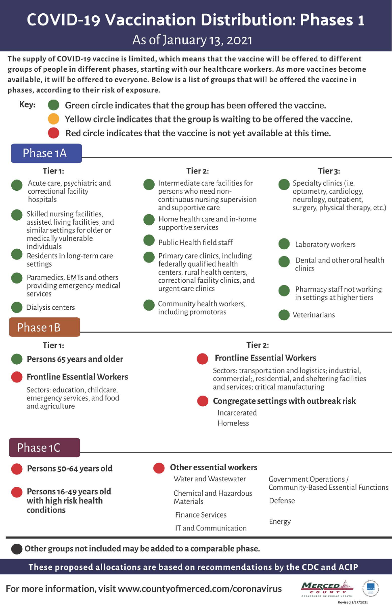# **COVID-19 Vaccination Distribution: Phases 1**

As of January 13, 2021

The supply of COVID-19 vaccine is limited, which means that the vaccine will be offered to different groups of people in different phases, starting with our healthcare workers. As more vaccines become available, it will be offered to everyone. Below is a list of groups that will be offered the vaccine in phases, according to their risk of exposure.

Key: Green circle indicates that the group has been offered the vaccine. Yellow circle indicates that the group is waiting to be offered the vaccine.

Red circle indicates that the vaccine is not yet available at this time.

## Phase 1A

#### Tier<sub>1:</sub>

- Acute care, psychiatric and correctional facility hospitals
- Skilled nursing facilities, assisted living facilities, and similar settings for older or medically vulnerable individuals
- Residents in long-term care settings
- Paramedics, EMTs and others providing emergency medical services
- Dialysis centers

## Phase 1B

#### Tier<sub>1</sub>:

Persons 65 years and older

#### **Frontline Essential Workers**

Sectors: education, childcare, emergency services, and food and agriculture

## Tier<sub>2:</sub>



**Frontline Essential Workers** 

Sectors: transportation and logistics; industrial, commercial;, residential, and sheltering facilities and services; critical manufacturing

Congregate settings with outbreak risk

Incarcerated Homeless

### Phase 1C

Persons 50-64 years old

Persons 16-49 years old with high risk health conditions

**Other essential workers** 

Water and Wastewater

Chemical and Hazardous Materials

**Finance Services** 

IT and Communication

**Government Operations /** Community-Based Essential Functions

Tier<sub>3:</sub>

Defense

Energy

Other groups not included may be added to a comparable phase.

These proposed allocations are based on recommendations by the CDC and ACIP

For more information, visit www.countyofmerced.com/coronavirus